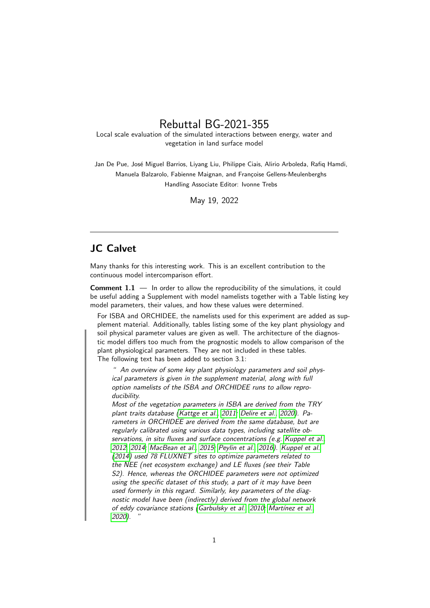## Rebuttal BG-2021-355

Local scale evaluation of the simulated interactions between energy, water and vegetation in land surface model

Jan De Pue, José Miguel Barrios, Livang Liu, Philippe Ciais, Alirio Arboleda, Rafiq Hamdi, Manuela Balzarolo, Fabienne Maignan, and Françoise Gellens-Meulenberghs Handling Associate Editor: Ivonne Trebs

May 19, 2022

## JC Calvet

Many thanks for this interesting work. This is an excellent contribution to the continuous model intercomparison effort.

**Comment 1.1**  $-$  In order to allow the reproducibility of the simulations, it could be useful adding a Supplement with model namelists together with a Table listing key model parameters, their values, and how these values were determined.

For ISBA and ORCHIDEE, the namelists used for this experiment are added as supplement material. Additionally, tables listing some of the key plant physiology and soil physical parameter values are given as well. The architecture of the diagnostic model differs too much from the prognostic models to allow comparison of the plant physiological parameters. They are not included in these tables. The following text has been added to section 3.1:

" An overview of some key plant physiology parameters and soil physical parameters is given in the supplement material, along with full option namelists of the ISBA and ORCHIDEE runs to allow reproducibility.

Most of the vegetation parameters in ISBA are derived from the TRY plant traits database [\(Kattge et al., 2011;](#page-4-0) [Delire et al., 2020\)](#page-4-1). Parameters in ORCHIDEE are derived from the same database, but are regularly calibrated using various data types, including satellite observations, in situ fluxes and surface concentrations (e.g. [Kuppel et al.,](#page-4-2) [2012,](#page-4-2) [2014;](#page-4-3) [MacBean et al., 2015;](#page-4-4) [Peylin et al., 2016\)](#page-4-5). [Kuppel et al.](#page-4-3) [\(2014\)](#page-4-3) used 78 FLUXNET sites to optimize parameters related to the NEE (net ecosystem exchange) and LE fluxes (see their Table S2). Hence, whereas the ORCHIDEE parameters were not optimized using the specific dataset of this study, a part of it may have been used formerly in this regard. Similarly, key parameters of the diagnostic model have been (indirectly) derived from the global network of eddy covariance stations [\(Garbulsky et al., 2010;](#page-4-6) Martínez et al., [2020\)](#page-4-7). "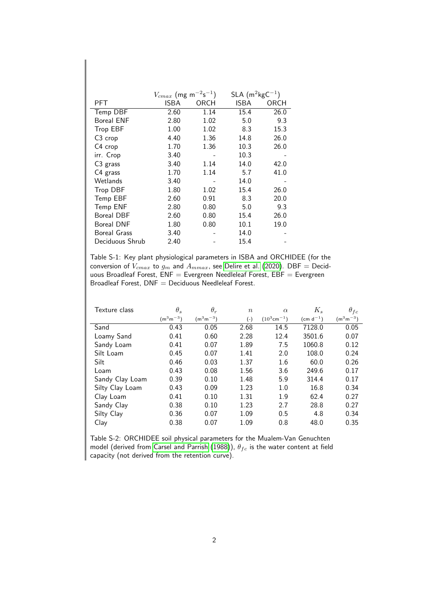|                     | $V_{cmax}$ (mg m <sup>-2</sup> s <sup>-1</sup> ) |      | $SLA$ (m <sup>2</sup> kg $C^{-1}$ ) |      |
|---------------------|--------------------------------------------------|------|-------------------------------------|------|
| PFT                 | ISBA                                             | ORCH | ISBA                                | ORCH |
| Temp DBF            | 2.60                                             | 1.14 | 15.4                                | 26.0 |
| <b>Boreal ENF</b>   | 2.80                                             | 1.02 | 5.0                                 | 9.3  |
| <b>Trop EBF</b>     | 1.00                                             | 1.02 | 8.3                                 | 15.3 |
| C <sub>3</sub> crop | 4.40                                             | 1.36 | 14.8                                | 26.0 |
| C4 crop             | 1.70                                             | 1.36 | 10.3                                | 26.0 |
| irr. Crop           | 3.40                                             |      | 10.3                                |      |
| $C3$ grass          | 3.40                                             | 1.14 | 14.0                                | 42.0 |
| C4 grass            | 1.70                                             | 1.14 | 5.7                                 | 41.0 |
| Wetlands            | 3.40                                             |      | 14.0                                |      |
| <b>Trop DBF</b>     | 1.80                                             | 1.02 | 15.4                                | 26.0 |
| Temp EBF            | 2.60                                             | 0.91 | 8.3                                 | 20.0 |
| Temp ENF            | 2.80                                             | 0.80 | 5.0                                 | 9.3  |
| <b>Boreal DBF</b>   | 2.60                                             | 0.80 | 15.4                                | 26.0 |
| <b>Boreal DNF</b>   | 1.80                                             | 0.80 | 10.1                                | 19.0 |
| <b>Boreal Grass</b> | 3.40                                             |      | 14.0                                |      |
| Deciduous Shrub     | 2.40                                             |      | 15.4                                |      |

Table S-1: Key plant physiological parameters in ISBA and ORCHIDEE (for the conversion of  $V_{cmax}$  to  $g_m$  and  $A_{mmax}$ , see [Delire et al.](#page-4-1) [\(2020\)](#page-4-1). DBF  $=$  Deciduous Broadleaf Forest,  $\mathsf{ENF} = \mathsf{Every}$ reen Needleleaf Forest,  $\mathsf{EBF} = \mathsf{Every}$ reen Broadleaf Forest, DNF = Deciduous Needleleaf Forest.

| Texture class   | $\theta_s$    | $\theta_r$    | $\boldsymbol{n}$ | $\alpha$                   | $K_s$           | $\theta_{fc}$ |
|-----------------|---------------|---------------|------------------|----------------------------|-----------------|---------------|
|                 | $(m^3m^{-3})$ | $(m^3m^{-3})$ | $(-)$            | $(10^3$ cm <sup>-1</sup> ) | (cm d $^{-1}$ ) | $(m^3m^{-3})$ |
| Sand            | 0.43          | 0.05          | 2.68             | 14.5                       | 7128.0          | 0.05          |
| Loamy Sand      | 0.41          | 0.60          | 2.28             | 12.4                       | 3501.6          | 0.07          |
| Sandy Loam      | 0.41          | 0.07          | 1.89             | 7.5                        | 1060.8          | 0.12          |
| Silt Loam       | 0.45          | 0.07          | 1.41             | 2.0                        | 108.0           | 0.24          |
| Silt            | 0.46          | 0.03          | 1.37             | 1.6                        | 60.0            | 0.26          |
| Loam            | 0.43          | 0.08          | 1.56             | 3.6                        | 249.6           | 0.17          |
| Sandy Clay Loam | 0.39          | 0.10          | 1.48             | 5.9                        | 314.4           | 0.17          |
| Silty Clay Loam | 0.43          | 0.09          | 1.23             | 1.0                        | 16.8            | 0.34          |
| Clay Loam       | 0.41          | 0.10          | 1.31             | 1.9                        | 62.4            | 0.27          |
| Sandy Clay      | 0.38          | 0.10          | 1.23             | 2.7                        | 28.8            | 0.27          |
| Silty Clay      | 0.36          | 0.07          | 1.09             | 0.5                        | 4.8             | 0.34          |
| Clay            | 0.38          | 0.07          | 1.09             | 0.8                        | 48.0            | 0.35          |

Table S-2: ORCHIDEE soil physical parameters for the Mualem-Van Genuchten model (derived from [Carsel and Parrish](#page-4-8) [\(1988\)](#page-4-8)),  $\theta_{fc}$  is the water content at field capacity (not derived from the retention curve).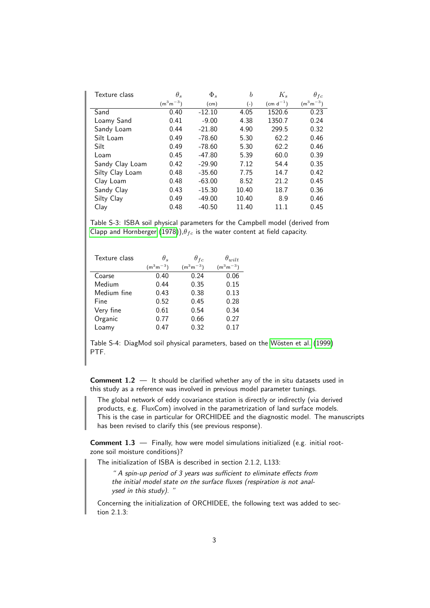| Texture class   | $\theta_s$    | $\Phi_s$ | $\boldsymbol{b}$ | $K_s$         | $\theta_{fc}$ |
|-----------------|---------------|----------|------------------|---------------|---------------|
|                 | $(m^3m^{-3})$ | (cm)     | $(\text{-})$     | $(cm d^{-1})$ | $(m^3m^{-3})$ |
| Sand            | 0.40          | $-12.10$ | 4.05             | 1520.6        | 0.23          |
| Loamy Sand      | 0.41          | $-9.00$  | 4.38             | 1350.7        | 0.24          |
| Sandy Loam      | 0.44          | $-21.80$ | 4.90             | 299.5         | 0.32          |
| Silt Loam       | 0.49          | $-78.60$ | 5.30             | 62.2          | 0.46          |
| Silt            | 0.49          | $-78.60$ | 5.30             | 62.2          | 0.46          |
| Loam            | 0.45          | $-47.80$ | 5.39             | 60.0          | 0.39          |
| Sandy Clay Loam | 0.42          | $-29.90$ | 7.12             | 54.4          | 0.35          |
| Silty Clay Loam | 0.48          | $-35.60$ | 7.75             | 14.7          | 0.42          |
| Clay Loam       | 0.48          | $-63.00$ | 8.52             | 21.2          | 0.45          |
| Sandy Clay      | 0.43          | $-15.30$ | 10.40            | 18.7          | 0.36          |
| Silty Clay      | 0.49          | $-49.00$ | 10.40            | 8.9           | 0.46          |
| Clay            | 0.48          | $-40.50$ | 11.40            | 11.1          | 0.45          |

Table S-3: ISBA soil physical parameters for the Campbell model (derived from [Clapp and Hornberger](#page-4-9) [\(1978\)](#page-4-9)), $\theta_{fc}$  is the water content at field capacity.

| Texture class | $\theta$ .    | $\theta_{fc}$ | $\theta_{wilt}$ |
|---------------|---------------|---------------|-----------------|
|               | $(m^3m^{-3})$ | $(m^3m^{-3})$ | $(m^3m^{-3})$   |
| Coarse        | 0.40          | 0.24          | 0.06            |
| Medium        | 0.44          | 0.35          | 0.15            |
| Medium fine   | 0.43          | 0.38          | 0.13            |
| Fine          | 0.52          | 0.45          | 0.28            |
| Very fine     | 0.61          | 0.54          | 0.34            |
| Organic       | 0.77          | 0.66          | 0.27            |
| Loamy         | 0.47          | 0.32          | 0.17            |

Table S-4: DiagMod soil physical parameters, based on the Wösten et al. [\(1999\)](#page-4-10) PTF.

Comment 1.2 — It should be clarified whether any of the in situ datasets used in this study as a reference was involved in previous model parameter tunings.

The global network of eddy covariance station is directly or indirectly (via derived products, e.g. FluxCom) involved in the parametrization of land surface models. This is the case in particular for ORCHIDEE and the diagnostic model. The manuscripts has been revised to clarify this (see previous response).

Comment 1.3 — Finally, how were model simulations initialized (e.g. initial rootzone soil moisture conditions)?

The initialization of ISBA is described in section 2.1.2, L133:

" A spin-up period of 3 years was sufficient to eliminate effects from the initial model state on the surface fluxes (respiration is not analysed in this study). "

Concerning the initialization of ORCHIDEE, the following text was added to section 2.1.3: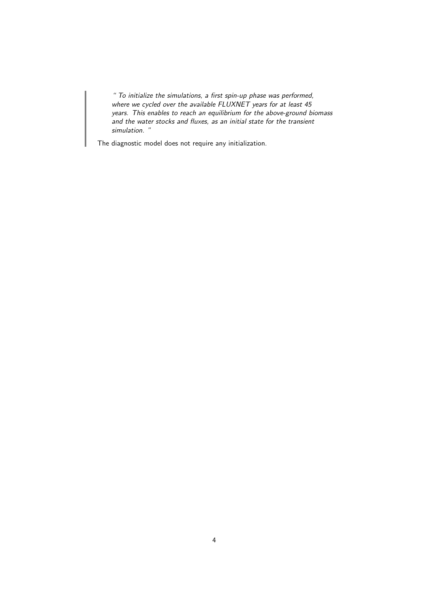" To initialize the simulations, a first spin-up phase was performed, where we cycled over the available FLUXNET years for at least 45 years. This enables to reach an equilibrium for the above-ground biomass and the water stocks and fluxes, as an initial state for the transient simulation. "

The diagnostic model does not require any initialization.